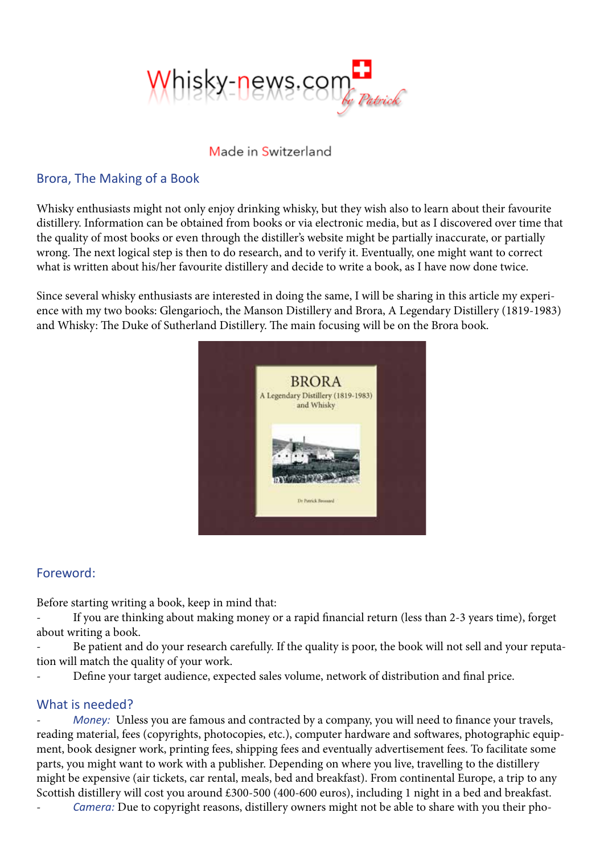

#### Made in Switzerland

## Brora, The Making of a Book

Whisky enthusiasts might not only enjoy drinking whisky, but they wish also to learn about their favourite distillery. Information can be obtained from books or via electronic media, but as I discovered over time that the quality of most books or even through the distiller's website might be partially inaccurate, or partially wrong. The next logical step is then to do research, and to verify it. Eventually, one might want to correct what is written about his/her favourite distillery and decide to write a book, as I have now done twice.

Since several whisky enthusiasts are interested in doing the same, I will be sharing in this article my experience with my two books: Glengarioch, the Manson Distillery and Brora, A Legendary Distillery (1819-1983) and Whisky: The Duke of Sutherland Distillery. The main focusing will be on the Brora book.



#### Foreword:

Before starting writing a book, keep in mind that:

If you are thinking about making money or a rapid financial return (less than 2-3 years time), forget about writing a book.

Be patient and do your research carefully. If the quality is poor, the book will not sell and your reputation will match the quality of your work.

Define your target audience, expected sales volume, network of distribution and final price.

## What is needed?

*Money:* Unless you are famous and contracted by a company, you will need to finance your travels, reading material, fees (copyrights, photocopies, etc.), computer hardware and softwares, photographic equipment, book designer work, printing fees, shipping fees and eventually advertisement fees. To facilitate some parts, you might want to work with a publisher. Depending on where you live, travelling to the distillery might be expensive (air tickets, car rental, meals, bed and breakfast). From continental Europe, a trip to any Scottish distillery will cost you around £300-500 (400-600 euros), including 1 night in a bed and breakfast.

- *Camera:* Due to copyright reasons, distillery owners might not be able to share with you their pho-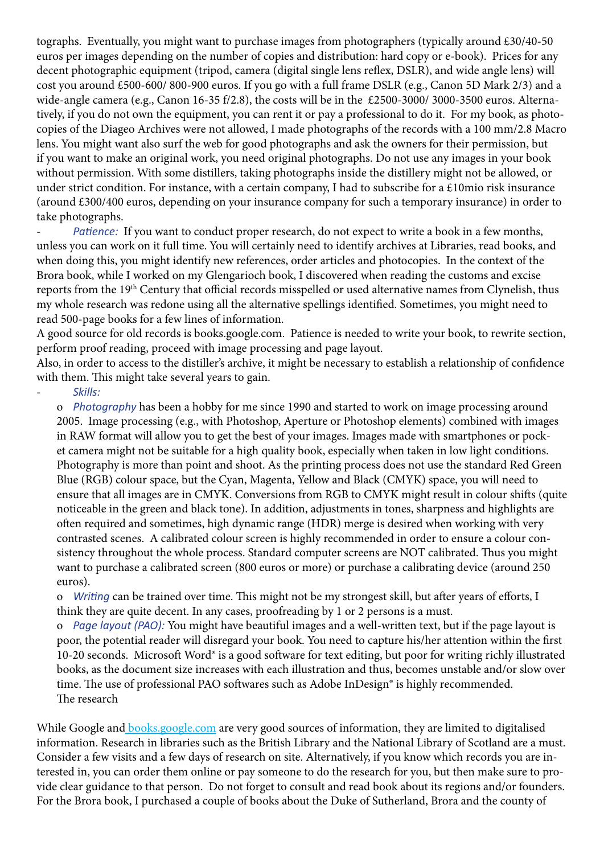tographs. Eventually, you might want to purchase images from photographers (typically around £30/40-50 euros per images depending on the number of copies and distribution: hard copy or e-book). Prices for any decent photographic equipment (tripod, camera (digital single lens reflex, DSLR), and wide angle lens) will cost you around £500-600/ 800-900 euros. If you go with a full frame DSLR (e.g., Canon 5D Mark 2/3) and a wide-angle camera (e.g., Canon 16-35 f/2.8), the costs will be in the £2500-3000/ 3000-3500 euros. Alternatively, if you do not own the equipment, you can rent it or pay a professional to do it. For my book, as photocopies of the Diageo Archives were not allowed, I made photographs of the records with a 100 mm/2.8 Macro lens. You might want also surf the web for good photographs and ask the owners for their permission, but if you want to make an original work, you need original photographs. Do not use any images in your book without permission. With some distillers, taking photographs inside the distillery might not be allowed, or under strict condition. For instance, with a certain company, I had to subscribe for a  $\epsilon$ 10mio risk insurance (around £300/400 euros, depending on your insurance company for such a temporary insurance) in order to take photographs.

Patience: If you want to conduct proper research, do not expect to write a book in a few months, unless you can work on it full time. You will certainly need to identify archives at Libraries, read books, and when doing this, you might identify new references, order articles and photocopies. In the context of the Brora book, while I worked on my Glengarioch book, I discovered when reading the customs and excise reports from the 19th Century that official records misspelled or used alternative names from Clynelish, thus my whole research was redone using all the alternative spellings identified. Sometimes, you might need to read 500-page books for a few lines of information.

A good source for old records is books.google.com. Patience is needed to write your book, to rewrite section, perform proof reading, proceed with image processing and page layout.

Also, in order to access to the distiller's archive, it might be necessary to establish a relationship of confidence with them. This might take several years to gain.

- *Skills:* 

o *Photography* has been a hobby for me since 1990 and started to work on image processing around 2005. Image processing (e.g., with Photoshop, Aperture or Photoshop elements) combined with images in RAW format will allow you to get the best of your images. Images made with smartphones or pocket camera might not be suitable for a high quality book, especially when taken in low light conditions. Photography is more than point and shoot. As the printing process does not use the standard Red Green Blue (RGB) colour space, but the Cyan, Magenta, Yellow and Black (CMYK) space, you will need to ensure that all images are in CMYK. Conversions from RGB to CMYK might result in colour shifts (quite noticeable in the green and black tone). In addition, adjustments in tones, sharpness and highlights are often required and sometimes, high dynamic range (HDR) merge is desired when working with very contrasted scenes. A calibrated colour screen is highly recommended in order to ensure a colour consistency throughout the whole process. Standard computer screens are NOT calibrated. Thus you might want to purchase a calibrated screen (800 euros or more) or purchase a calibrating device (around 250 euros).

o *Writing* can be trained over time. This might not be my strongest skill, but after years of efforts, I think they are quite decent. In any cases, proofreading by 1 or 2 persons is a must.

o *Page layout (PAO):* You might have beautiful images and a well-written text, but if the page layout is poor, the potential reader will disregard your book. You need to capture his/her attention within the first 10-20 seconds. Microsoft Word® is a good software for text editing, but poor for writing richly illustrated books, as the document size increases with each illustration and thus, becomes unstable and/or slow over time. The use of professional PAO softwares such as Adobe InDesign® is highly recommended. The research

While Google and [books.google.com a](https://books.google.com/)re very good sources of information, they are limited to digitalised information. Research in libraries such as the British Library and the National Library of Scotland are a must. Consider a few visits and a few days of research on site. Alternatively, if you know which records you are interested in, you can order them online or pay someone to do the research for you, but then make sure to provide clear guidance to that person. Do not forget to consult and read book about its regions and/or founders. For the Brora book, I purchased a couple of books about the Duke of Sutherland, Brora and the county of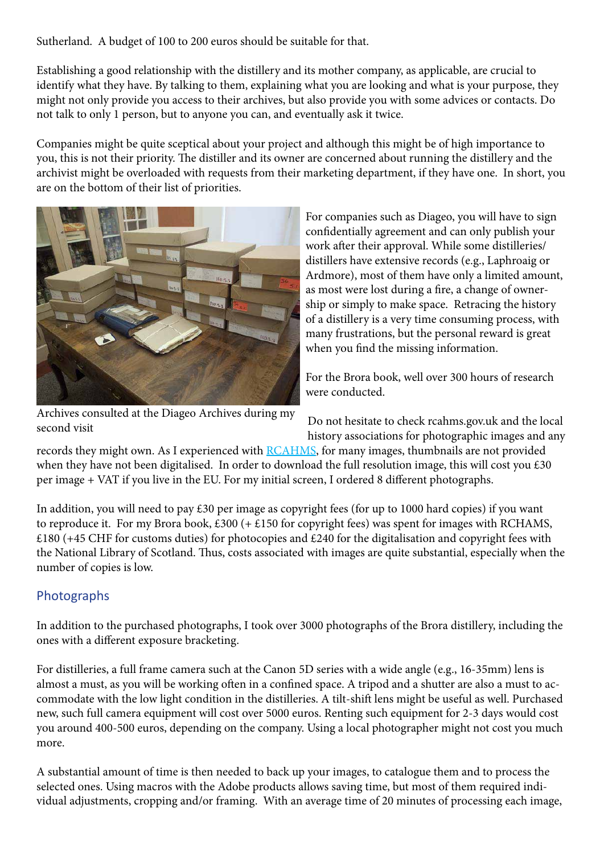Sutherland. A budget of 100 to 200 euros should be suitable for that.

Establishing a good relationship with the distillery and its mother company, as applicable, are crucial to identify what they have. By talking to them, explaining what you are looking and what is your purpose, they might not only provide you access to their archives, but also provide you with some advices or contacts. Do not talk to only 1 person, but to anyone you can, and eventually ask it twice.

Companies might be quite sceptical about your project and although this might be of high importance to you, this is not their priority. The distiller and its owner are concerned about running the distillery and the archivist might be overloaded with requests from their marketing department, if they have one. In short, you are on the bottom of their list of priorities.



Archives consulted at the Diageo Archives during my second visit

For companies such as Diageo, you will have to sign confidentially agreement and can only publish your work after their approval. While some distilleries/ distillers have extensive records (e.g., Laphroaig or Ardmore), most of them have only a limited amount, as most were lost during a fire, a change of ownership or simply to make space. Retracing the history of a distillery is a very time consuming process, with many frustrations, but the personal reward is great when you find the missing information.

For the Brora book, well over 300 hours of research were conducted.

Do not hesitate to check rcahms.gov.uk and the local history associations for photographic images and any

records they might own. As I experienced with [RCAHMS,](https://www.historicenvironment.scot/) for many images, thumbnails are not provided when they have not been digitalised. In order to download the full resolution image, this will cost you £30 per image + VAT if you live in the EU. For my initial screen, I ordered 8 different photographs.

In addition, you will need to pay £30 per image as copyright fees (for up to 1000 hard copies) if you want to reproduce it. For my Brora book, £300 (+ £150 for copyright fees) was spent for images with RCHAMS, £180 (+45 CHF for customs duties) for photocopies and £240 for the digitalisation and copyright fees with the National Library of Scotland. Thus, costs associated with images are quite substantial, especially when the number of copies is low.

# **Photographs**

In addition to the purchased photographs, I took over 3000 photographs of the Brora distillery, including the ones with a different exposure bracketing.

For distilleries, a full frame camera such at the Canon 5D series with a wide angle (e.g., 16-35mm) lens is almost a must, as you will be working often in a confined space. A tripod and a shutter are also a must to accommodate with the low light condition in the distilleries. A tilt-shift lens might be useful as well. Purchased new, such full camera equipment will cost over 5000 euros. Renting such equipment for 2-3 days would cost you around 400-500 euros, depending on the company. Using a local photographer might not cost you much more.

A substantial amount of time is then needed to back up your images, to catalogue them and to process the selected ones. Using macros with the Adobe products allows saving time, but most of them required individual adjustments, cropping and/or framing. With an average time of 20 minutes of processing each image,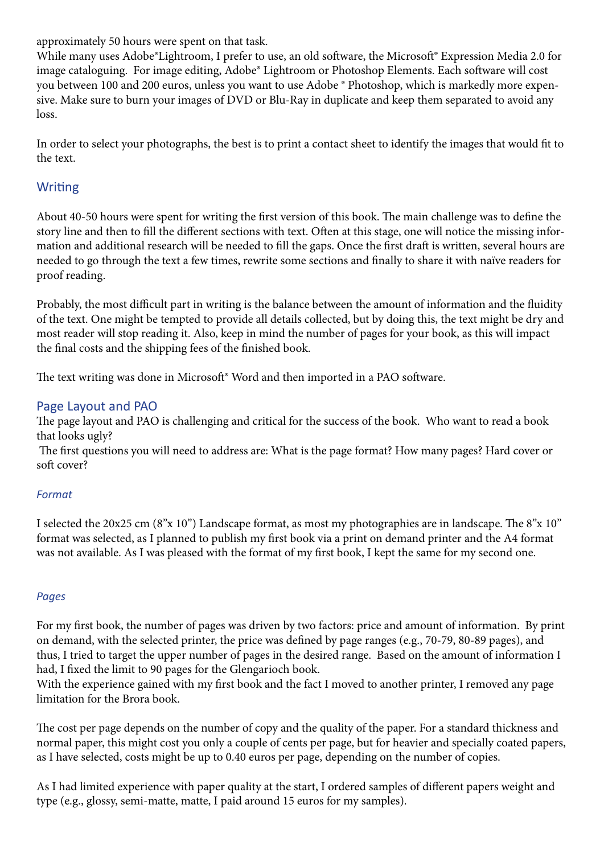approximately 50 hours were spent on that task.

While many uses Adobe®Lightroom, I prefer to use, an old software, the Microsoft® Expression Media 2.0 for image cataloguing. For image editing, Adobe® Lightroom or Photoshop Elements. Each software will cost you between 100 and 200 euros, unless you want to use Adobe ® Photoshop, which is markedly more expensive. Make sure to burn your images of DVD or Blu-Ray in duplicate and keep them separated to avoid any loss.

In order to select your photographs, the best is to print a contact sheet to identify the images that would fit to the text.

# **Writing**

About 40-50 hours were spent for writing the first version of this book. The main challenge was to define the story line and then to fill the different sections with text. Often at this stage, one will notice the missing information and additional research will be needed to fill the gaps. Once the first draft is written, several hours are needed to go through the text a few times, rewrite some sections and finally to share it with naïve readers for proof reading.

Probably, the most difficult part in writing is the balance between the amount of information and the fluidity of the text. One might be tempted to provide all details collected, but by doing this, the text might be dry and most reader will stop reading it. Also, keep in mind the number of pages for your book, as this will impact the final costs and the shipping fees of the finished book.

The text writing was done in Microsoft<sup>®</sup> Word and then imported in a PAO software.

## Page Layout and PAO

The page layout and PAO is challenging and critical for the success of the book. Who want to read a book that looks ugly?

 The first questions you will need to address are: What is the page format? How many pages? Hard cover or soft cover?

# *Format*

I selected the 20x25 cm (8"x 10") Landscape format, as most my photographies are in landscape. The 8"x 10" format was selected, as I planned to publish my first book via a print on demand printer and the A4 format was not available. As I was pleased with the format of my first book, I kept the same for my second one.

## *Pages*

For my first book, the number of pages was driven by two factors: price and amount of information. By print on demand, with the selected printer, the price was defined by page ranges (e.g., 70-79, 80-89 pages), and thus, I tried to target the upper number of pages in the desired range. Based on the amount of information I had, I fixed the limit to 90 pages for the Glengarioch book.

With the experience gained with my first book and the fact I moved to another printer, I removed any page limitation for the Brora book.

The cost per page depends on the number of copy and the quality of the paper. For a standard thickness and normal paper, this might cost you only a couple of cents per page, but for heavier and specially coated papers, as I have selected, costs might be up to 0.40 euros per page, depending on the number of copies.

As I had limited experience with paper quality at the start, I ordered samples of different papers weight and type (e.g., glossy, semi-matte, matte, I paid around 15 euros for my samples).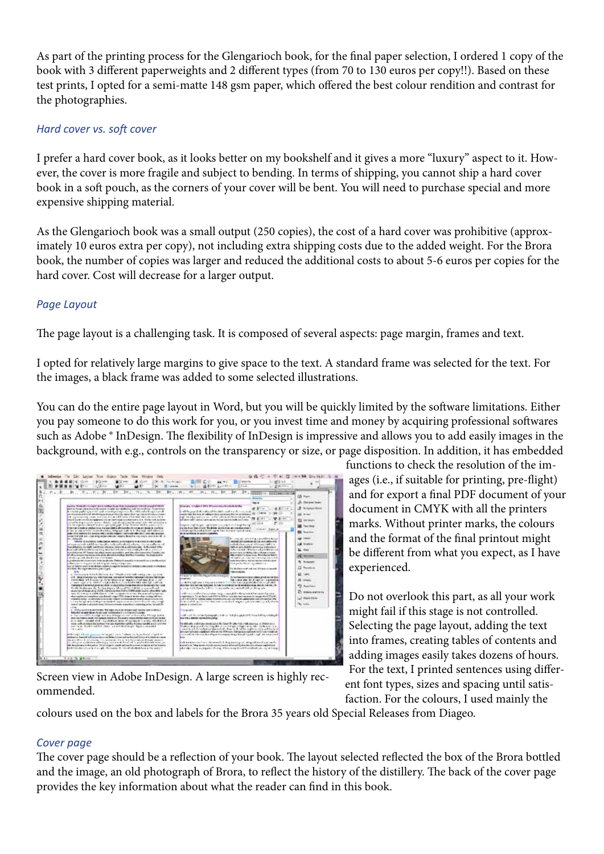As part of the printing process for the Glengarioch book, for the final paper selection, I ordered 1 copy of the book with 3 different paperweights and 2 different types (from 70 to 130 euros per copy!!). Based on these test prints, I opted for a semi-matte 148 gsm paper, which offered the best colour rendition and contrast for the photographies.

#### *Hard cover vs. soft cover*

I prefer a hard cover book, as it looks better on my bookshelf and it gives a more "luxury" aspect to it. However, the cover is more fragile and subject to bending. In terms of shipping, you cannot ship a hard cover book in a soft pouch, as the corners of your cover will be bent. You will need to purchase special and more expensive shipping material.

As the Glengarioch book was a small output (250 copies), the cost of a hard cover was prohibitive (approximately 10 euros extra per copy), not including extra shipping costs due to the added weight. For the Brora book, the number of copies was larger and reduced the additional costs to about 5-6 euros per copies for the hard cover. Cost will decrease for a larger output.

#### *Page Layout*

The page layout is a challenging task. It is composed of several aspects: page margin, frames and text.

I opted for relatively large margins to give space to the text. A standard frame was selected for the text. For the images, a black frame was added to some selected illustrations.

You can do the entire page layout in Word, but you will be quickly limited by the software limitations. Either you pay someone to do this work for you, or you invest time and money by acquiring professional softwares such as Adobe ® InDesign. The flexibility of InDesign is impressive and allows you to add easily images in the background, with e.g., controls on the transparency or size, or page disposition. In addition, it has embedded

理美術 リオネル 经产品商 经流行年度记录

Screen view in Adobe InDesign. A large screen is highly recommended.

functions to check the resolution of the images (i.e., if suitable for printing, pre-flight) and for export a final PDF document of your document in CMYK with all the printers marks. Without printer marks, the colours and the format of the final printout might be different from what you expect, as I have experienced.

Do not overlook this part, as all your work might fail if this stage is not controlled. Selecting the page layout, adding the text into frames, creating tables of contents and adding images easily takes dozens of hours. For the text, I printed sentences using different font types, sizes and spacing until satisfaction. For the colours, I used mainly the

colours used on the box and labels for the Brora 35 years old Special Releases from Diageo.

## *Cover page*

The cover page should be a reflection of your book. The layout selected reflected the box of the Brora bottled and the image, an old photograph of Brora, to reflect the history of the distillery. The back of the cover page provides the key information about what the reader can find in this book.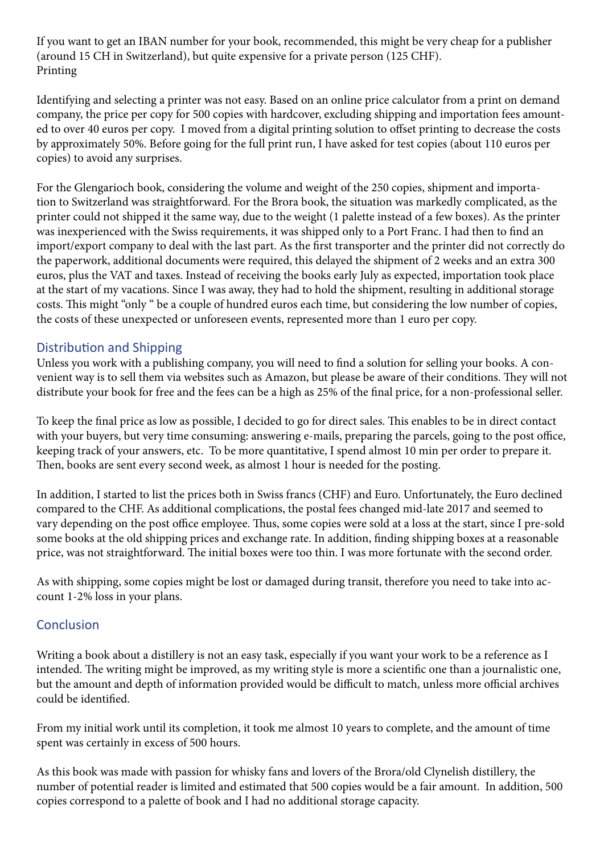If you want to get an IBAN number for your book, recommended, this might be very cheap for a publisher (around 15 CH in Switzerland), but quite expensive for a private person (125 CHF). Printing

Identifying and selecting a printer was not easy. Based on an online price calculator from a print on demand company, the price per copy for 500 copies with hardcover, excluding shipping and importation fees amounted to over 40 euros per copy. I moved from a digital printing solution to offset printing to decrease the costs by approximately 50%. Before going for the full print run, I have asked for test copies (about 110 euros per copies) to avoid any surprises.

For the Glengarioch book, considering the volume and weight of the 250 copies, shipment and importation to Switzerland was straightforward. For the Brora book, the situation was markedly complicated, as the printer could not shipped it the same way, due to the weight (1 palette instead of a few boxes). As the printer was inexperienced with the Swiss requirements, it was shipped only to a Port Franc. I had then to find an import/export company to deal with the last part. As the first transporter and the printer did not correctly do the paperwork, additional documents were required, this delayed the shipment of 2 weeks and an extra 300 euros, plus the VAT and taxes. Instead of receiving the books early July as expected, importation took place at the start of my vacations. Since I was away, they had to hold the shipment, resulting in additional storage costs. This might "only " be a couple of hundred euros each time, but considering the low number of copies, the costs of these unexpected or unforeseen events, represented more than 1 euro per copy.

## Distribution and Shipping

Unless you work with a publishing company, you will need to find a solution for selling your books. A convenient way is to sell them via websites such as Amazon, but please be aware of their conditions. They will not distribute your book for free and the fees can be a high as 25% of the final price, for a non-professional seller.

To keep the final price as low as possible, I decided to go for direct sales. This enables to be in direct contact with your buyers, but very time consuming: answering e-mails, preparing the parcels, going to the post office, keeping track of your answers, etc. To be more quantitative, I spend almost 10 min per order to prepare it. Then, books are sent every second week, as almost 1 hour is needed for the posting.

In addition, I started to list the prices both in Swiss francs (CHF) and Euro. Unfortunately, the Euro declined compared to the CHF. As additional complications, the postal fees changed mid-late 2017 and seemed to vary depending on the post office employee. Thus, some copies were sold at a loss at the start, since I pre-sold some books at the old shipping prices and exchange rate. In addition, finding shipping boxes at a reasonable price, was not straightforward. The initial boxes were too thin. I was more fortunate with the second order.

As with shipping, some copies might be lost or damaged during transit, therefore you need to take into account 1-2% loss in your plans.

## **Conclusion**

Writing a book about a distillery is not an easy task, especially if you want your work to be a reference as I intended. The writing might be improved, as my writing style is more a scientific one than a journalistic one, but the amount and depth of information provided would be difficult to match, unless more official archives could be identified.

From my initial work until its completion, it took me almost 10 years to complete, and the amount of time spent was certainly in excess of 500 hours.

As this book was made with passion for whisky fans and lovers of the Brora/old Clynelish distillery, the number of potential reader is limited and estimated that 500 copies would be a fair amount. In addition, 500 copies correspond to a palette of book and I had no additional storage capacity.